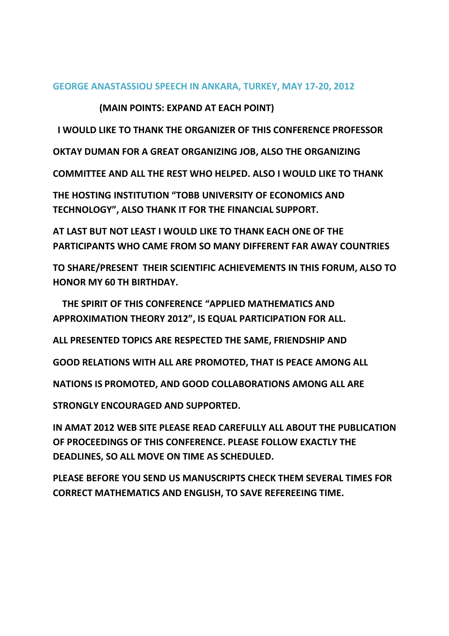## **GEORGE ANASTASSIOU SPEECH IN ANKARA, TURKEY, MAY 17-20, 2012**

 **(MAIN POINTS: EXPAND AT EACH POINT)** 

 **I WOULD LIKE TO THANK THE ORGANIZER OF THIS CONFERENCE PROFESSOR** 

**OKTAY DUMAN FOR A GREAT ORGANIZING JOB, ALSO THE ORGANIZING** 

**COMMITTEE AND ALL THE REST WHO HELPED. ALSO I WOULD LIKE TO THANK** 

**THE HOSTING INSTITUTION "TOBB UNIVERSITY OF ECONOMICS AND TECHNOLOGY", ALSO THANK IT FOR THE FINANCIAL SUPPORT.** 

**AT LAST BUT NOT LEAST I WOULD LIKE TO THANK EACH ONE OF THE PARTICIPANTS WHO CAME FROM SO MANY DIFFERENT FAR AWAY COUNTRIES** 

**TO SHARE/PRESENT THEIR SCIENTIFIC ACHIEVEMENTS IN THIS FORUM, ALSO TO HONOR MY 60 TH BIRTHDAY.** 

 **THE SPIRIT OF THIS CONFERENCE "APPLIED MATHEMATICS AND APPROXIMATION THEORY 2012", IS EQUAL PARTICIPATION FOR ALL.** 

**ALL PRESENTED TOPICS ARE RESPECTED THE SAME, FRIENDSHIP AND** 

**GOOD RELATIONS WITH ALL ARE PROMOTED, THAT IS PEACE AMONG ALL** 

**NATIONS IS PROMOTED, AND GOOD COLLABORATIONS AMONG ALL ARE** 

**STRONGLY ENCOURAGED AND SUPPORTED.** 

**IN AMAT 2012 WEB SITE PLEASE READ CAREFULLY ALL ABOUT THE PUBLICATION OF PROCEEDINGS OF THIS CONFERENCE. PLEASE FOLLOW EXACTLY THE DEADLINES, SO ALL MOVE ON TIME AS SCHEDULED.** 

**PLEASE BEFORE YOU SEND US MANUSCRIPTS CHECK THEM SEVERAL TIMES FOR CORRECT MATHEMATICS AND ENGLISH, TO SAVE REFEREEING TIME.**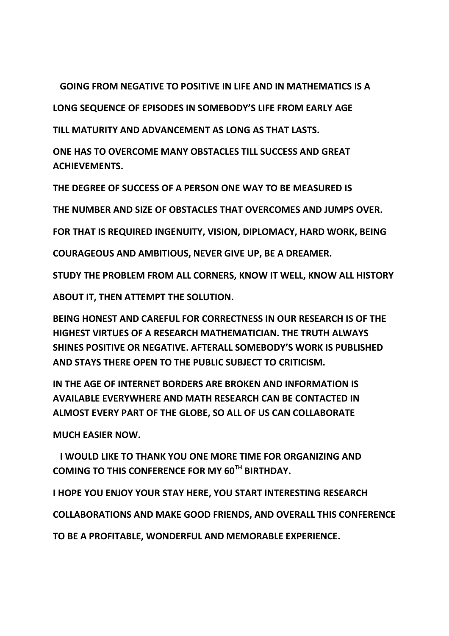**GOING FROM NEGATIVE TO POSITIVE IN LIFE AND IN MATHEMATICS IS A** 

**LONG SEQUENCE OF EPISODES IN SOMEBODY'S LIFE FROM EARLY AGE** 

**TILL MATURITY AND ADVANCEMENT AS LONG AS THAT LASTS.** 

**ONE HAS TO OVERCOME MANY OBSTACLES TILL SUCCESS AND GREAT ACHIEVEMENTS.** 

**THE DEGREE OF SUCCESS OF A PERSON ONE WAY TO BE MEASURED IS** 

**THE NUMBER AND SIZE OF OBSTACLES THAT OVERCOMES AND JUMPS OVER.** 

**FOR THAT IS REQUIRED INGENUITY, VISION, DIPLOMACY, HARD WORK, BEING** 

**COURAGEOUS AND AMBITIOUS, NEVER GIVE UP, BE A DREAMER.** 

**STUDY THE PROBLEM FROM ALL CORNERS, KNOW IT WELL, KNOW ALL HISTORY** 

**ABOUT IT, THEN ATTEMPT THE SOLUTION.** 

**BEING HONEST AND CAREFUL FOR CORRECTNESS IN OUR RESEARCH IS OF THE HIGHEST VIRTUES OF A RESEARCH MATHEMATICIAN. THE TRUTH ALWAYS SHINES POSITIVE OR NEGATIVE. AFTERALL SOMEBODY'S WORK IS PUBLISHED AND STAYS THERE OPEN TO THE PUBLIC SUBJECT TO CRITICISM.** 

**IN THE AGE OF INTERNET BORDERS ARE BROKEN AND INFORMATION IS AVAILABLE EVERYWHERE AND MATH RESEARCH CAN BE CONTACTED IN ALMOST EVERY PART OF THE GLOBE, SO ALL OF US CAN COLLABORATE** 

**MUCH EASIER NOW.** 

 **I WOULD LIKE TO THANK YOU ONE MORE TIME FOR ORGANIZING AND COMING TO THIS CONFERENCE FOR MY 60TH BIRTHDAY.** 

**I HOPE YOU ENJOY YOUR STAY HERE, YOU START INTERESTING RESEARCH** 

**COLLABORATIONS AND MAKE GOOD FRIENDS, AND OVERALL THIS CONFERENCE** 

**TO BE A PROFITABLE, WONDERFUL AND MEMORABLE EXPERIENCE.**